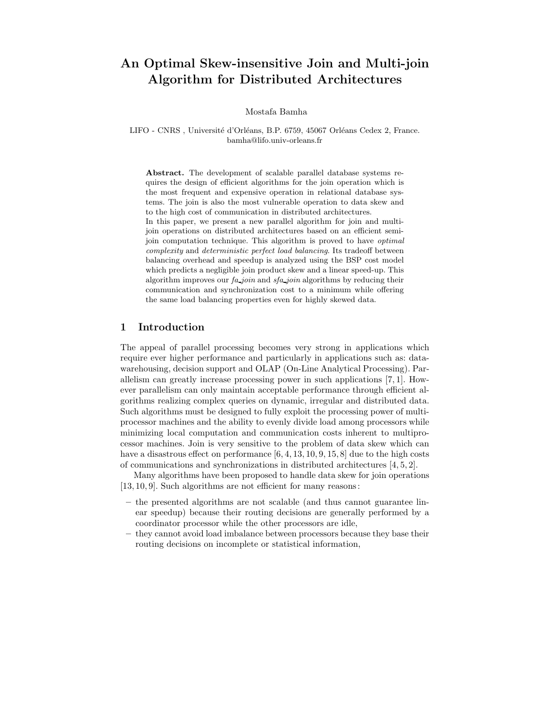# An Optimal Skew-insensitive Join and Multi-join Algorithm for Distributed Architectures

Mostafa Bamha

LIFO - CNRS, Université d'Orléans, B.P. 6759, 45067 Orléans Cedex 2, France. bamha@lifo.univ-orleans.fr

Abstract. The development of scalable parallel database systems requires the design of efficient algorithms for the join operation which is the most frequent and expensive operation in relational database systems. The join is also the most vulnerable operation to data skew and to the high cost of communication in distributed architectures. In this paper, we present a new parallel algorithm for join and multijoin operations on distributed architectures based on an efficient semijoin computation technique. This algorithm is proved to have optimal complexity and deterministic perfect load balancing. Its tradeoff between balancing overhead and speedup is analyzed using the BSP cost model which predicts a negligible join product skew and a linear speed-up. This algorithm improves our  $fa$  join and  $sfa$  join algorithms by reducing their communication and synchronization cost to a minimum while offering the same load balancing properties even for highly skewed data.

## 1 Introduction

The appeal of parallel processing becomes very strong in applications which require ever higher performance and particularly in applications such as: datawarehousing, decision support and OLAP (On-Line Analytical Processing). Parallelism can greatly increase processing power in such applications [7, 1]. However parallelism can only maintain acceptable performance through efficient algorithms realizing complex queries on dynamic, irregular and distributed data. Such algorithms must be designed to fully exploit the processing power of multiprocessor machines and the ability to evenly divide load among processors while minimizing local computation and communication costs inherent to multiprocessor machines. Join is very sensitive to the problem of data skew which can have a disastrous effect on performance [6, 4, 13, 10, 9, 15, 8] due to the high costs of communications and synchronizations in distributed architectures  $[4, 5, 2]$ .

Many algorithms have been proposed to handle data skew for join operations [13, 10, 9]. Such algorithms are not efficient for many reasons:

- the presented algorithms are not scalable (and thus cannot guarantee linear speedup) because their routing decisions are generally performed by a coordinator processor while the other processors are idle,
- they cannot avoid load imbalance between processors because they base their routing decisions on incomplete or statistical information,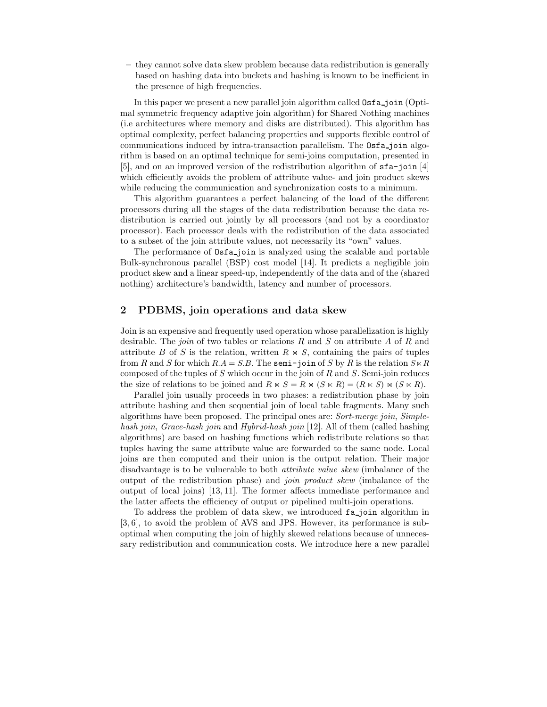– they cannot solve data skew problem because data redistribution is generally based on hashing data into buckets and hashing is known to be inefficient in the presence of high frequencies.

In this paper we present a new parallel join algorithm called  $\texttt{Osta}_\text{-join}(\text{Opti}_\text{-}$ mal symmetric frequency adaptive join algorithm) for Shared Nothing machines (i.e architectures where memory and disks are distributed). This algorithm has optimal complexity, perfect balancing properties and supports flexible control of communications induced by intra-transaction parallelism. The **Osfa**-join algorithm is based on an optimal technique for semi-joins computation, presented in [5], and on an improved version of the redistribution algorithm of  $\texttt{sta-join}$  [4] which efficiently avoids the problem of attribute value- and join product skews while reducing the communication and synchronization costs to a minimum.

This algorithm guarantees a perfect balancing of the load of the different processors during all the stages of the data redistribution because the data redistribution is carried out jointly by all processors (and not by a coordinator processor). Each processor deals with the redistribution of the data associated to a subset of the join attribute values, not necessarily its "own" values.

The performance of  $\text{Ost}_a$ -join is analyzed using the scalable and portable Bulk-synchronous parallel (BSP) cost model [14]. It predicts a negligible join product skew and a linear speed-up, independently of the data and of the (shared nothing) architecture's bandwidth, latency and number of processors.

## 2 PDBMS, join operations and data skew

Join is an expensive and frequently used operation whose parallelization is highly desirable. The join of two tables or relations R and S on attribute A of R and attribute B of S is the relation, written  $R \bowtie S$ , containing the pairs of tuples from R and S for which  $R.A = S.B.$  The semi-join of S by R is the relation  $S \ltimes R$ composed of the tuples of  $S$  which occur in the join of  $R$  and  $S$ . Semi-join reduces the size of relations to be joined and  $R \bowtie S = R \bowtie (S \bowtie R) = (R \bowtie S) \bowtie (S \bowtie R)$ .

Parallel join usually proceeds in two phases: a redistribution phase by join attribute hashing and then sequential join of local table fragments. Many such algorithms have been proposed. The principal ones are: Sort-merge join, Simplehash join, Grace-hash join and Hybrid-hash join [12]. All of them (called hashing algorithms) are based on hashing functions which redistribute relations so that tuples having the same attribute value are forwarded to the same node. Local joins are then computed and their union is the output relation. Their major disadvantage is to be vulnerable to both attribute value skew (imbalance of the output of the redistribution phase) and join product skew (imbalance of the output of local joins) [13, 11]. The former affects immediate performance and the latter affects the efficiency of output or pipelined multi-join operations.

To address the problem of data skew, we introduced fa join algorithm in [3, 6], to avoid the problem of AVS and JPS. However, its performance is suboptimal when computing the join of highly skewed relations because of unnecessary redistribution and communication costs. We introduce here a new parallel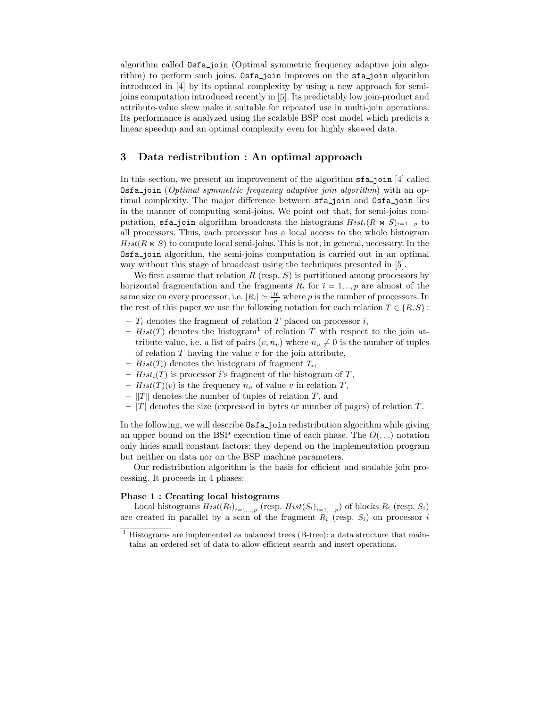algorithm called Osfa join (Optimal symmetric frequency adaptive join algorithm) to perform such joins. Osfa<sub>rie</sub> improves on the sfa<sub>rie</sub> algorithm introduced in [4] by its optimal complexity by using a new approach for semijoins computation introduced recently in [5]. Its predictably low join-product and attribute-value skew make it suitable for repeated use in multi-join operations. Its performance is analyzed using the scalable BSP cost model which predicts a linear speedup and an optimal complexity even for highly skewed data.

# 3 Data redistribution : An optimal approach

In this section, we present an improvement of the algorithm  $\mathfrak{sa}\_$ ioin [4] called **Osfa** join (*Optimal symmetric frequency adaptive join algorithm*) with an optimal complexity. The major difference between sfa join and Osfa join lies in the manner of computing semi-joins. We point out that, for semi-joins computation, sfa join algorithm broadcasts the histograms  $Hist_i(R \Join S)_{i=1...p}$  to all processors. Thus, each processor has a local access to the whole histogram  $Hist(R \Join S)$  to compute local semi-joins. This is not, in general, necessary. In the Osfa join algorithm, the semi-joins computation is carried out in an optimal way without this stage of broadcast using the techniques presented in [5].

We first assume that relation  $R$  (resp.  $S$ ) is partitioned among processors by horizontal fragmentation and the fragments  $R_i$  for  $i = 1, ..., p$  are almost of the same size on every processor, i.e.  $|R_i| \simeq \frac{|R|}{p}$  where p is the number of processors. In the rest of this paper we use the following notation for each relation  $T \in \{R, S\}$ :

- $T_i$  denotes the fragment of relation T placed on processor i,
- Hist(T) denotes the histogram<sup>1</sup> of relation T with respect to the join attribute value, i.e. a list of pairs  $(v, n_v)$  where  $n_v \neq 0$  is the number of tuples of relation  $T$  having the value  $v$  for the join attribute,
- $Hist(T_i)$  denotes the histogram of fragment  $T_i$ ,
- $Hist_i(T)$  is processor i's fragment of the histogram of T,
- $Hist(T)(v)$  is the frequency  $n_v$  of value v in relation T,
- $-$  |T|| denotes the number of tuples of relation T, and
- $-|T|$  denotes the size (expressed in bytes or number of pages) of relation T.

In the following, we will describe  $\text{Osfa}_i$  join redistribution algorithm while giving an upper bound on the BSP execution time of each phase. The  $O(\ldots)$  notation only hides small constant factors: they depend on the implementation program but neither on data nor on the BSP machine parameters.

Our redistribution algorithm is the basis for efficient and scalable join processing. It proceeds in 4 phases:

#### Phase 1 : Creating local histograms

Local histograms  $Hist(R_i)_{i=1,\ldots,p}$  (resp.  $Hist(S_i)_{i=1,\ldots,p}$ ) of blocks  $R_i$  (resp.  $S_i$ ) are created in parallel by a scan of the fragment  $R_i$  (resp.  $S_i$ ) on processor i

<sup>&</sup>lt;sup>1</sup> Histograms are implemented as balanced trees (B-tree): a data structure that maintains an ordered set of data to allow efficient search and insert operations.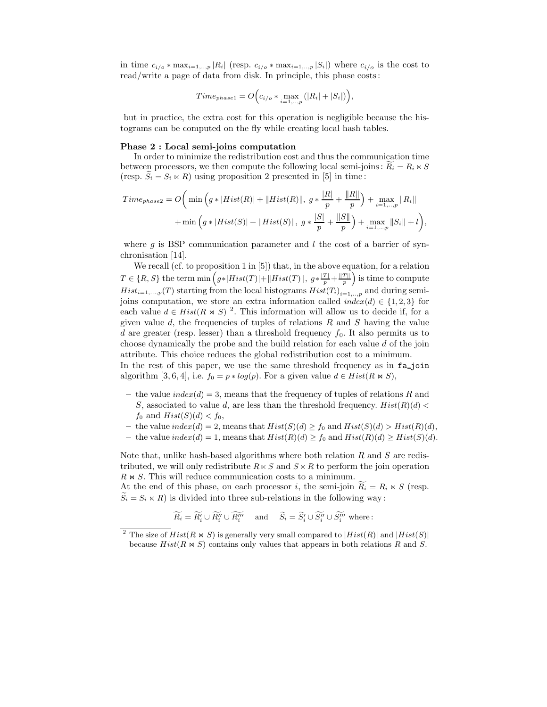in time  $c_{i/o} * \max_{i=1,\dots,p} |R_i|$  (resp.  $c_{i/o} * \max_{i=1,\dots,p} |S_i|$ ) where  $c_{i/o}$  is the cost to read/write a page of data from disk. In principle, this phase costs :

$$
Time_{phase1} = O\Big(c_{i/o} * \max_{i=1,\dots,p} (|R_i| + |S_i|)\Big),\,
$$

but in practice, the extra cost for this operation is negligible because the histograms can be computed on the fly while creating local hash tables.

#### Phase 2 : Local semi-joins computation

In order to minimize the redistribution cost and thus the communication time between processors, we then compute the following local semi-joins:  $R_i = R_i \times S$ (resp.  $S_i = S_i \ltimes R$ ) using proposition 2 presented in [5] in time:

$$
Time_{phase2} = O\bigg(\min\Big(g*|Hist(R)|+||Hist(R)||, g* \frac{|R|}{p} + \frac{||R||}{p}\Big) + \max_{i=1,..,p} ||R_i|| + \min\Big(g*|Hist(S)|+||Hist(S)||, g* \frac{|S|}{p} + \frac{||S||}{p}\Big) + \max_{i=1,..,p} ||S_i|| + l\bigg),\right)
$$

where  $q$  is BSP communication parameter and l the cost of a barrier of synchronisation [14].

We recall (cf. to proposition 1 in [5]) that, in the above equation, for a relation  $T \in \{R, S\}$  the term min  $(g * | Hist(T)| + || Hist(T)||, g * \frac{|T|}{p} + \frac{||T||}{p})$  is time to compute  $Hist_{i=1,...,p}(T)$  starting from the local histograms  $Hist(T_i)_{i=1,...,p}$  and during semijoins computation, we store an extra information called  $index(d) \in \{1, 2, 3\}$  for each value  $d \in Hist(R \Join S)^{-2}$ . This information will allow us to decide if, for a given value d, the frequencies of tuples of relations  $R$  and  $S$  having the value d are greater (resp. lesser) than a threshold frequency  $f_0$ . It also permits us to choose dynamically the probe and the build relation for each value d of the join attribute. This choice reduces the global redistribution cost to a minimum. In the rest of this paper, we use the same threshold frequency as in fa<sub>-join</sub>

– the value  $index(d) = 3$ , means that the frequency of tuples of relations R and S, associated to value d, are less than the threshold frequency.  $Hist(R)(d)$ 

algorithm [3, 6, 4], i.e.  $f_0 = p * log(p)$ . For a given value  $d \in Hist(R \Join S)$ ,

- $f_0$  and  $Hist(S)(d) < f_0$ ,
- the value  $index(d) = 2$ , means that  $Hist(S)(d) \ge f_0$  and  $Hist(S)(d) > Hist(R)(d)$ ,
- the value  $index(d) = 1$ , means that  $Hist(R)(d) \ge f_0$  and  $Hist(R)(d) \ge Hist(S)(d)$ .

Note that, unlike hash-based algorithms where both relation  $R$  and  $S$  are redistributed, we will only redistribute  $R \ltimes S$  and  $S \ltimes R$  to perform the join operation  $R \Join S$ . This will reduce communication costs to a minimum.

At the end of this phase, on each processor i, the semi-join  $\widetilde{R_i} = R_i \ltimes S$  (resp.  $S_i = S_i \times R$ ) is divided into three sub-relations in the following way:

$$
\widetilde{R_i} = \widetilde{R_i'} \cup \widetilde{R_i''} \cup \widetilde{R_i'''} \quad \text{ and } \quad \widetilde{S_i} = \widetilde{S_i'} \cup \widetilde{S_i''} \cup \widetilde{S_i'''} \text{ where : }
$$

The size of  $Hist(R \Join S)$  is generally very small compared to  $|Hist(R)|$  and  $|Hist(S)|$ because  $Hist(R \Join S)$  contains only values that appears in both relations R and S.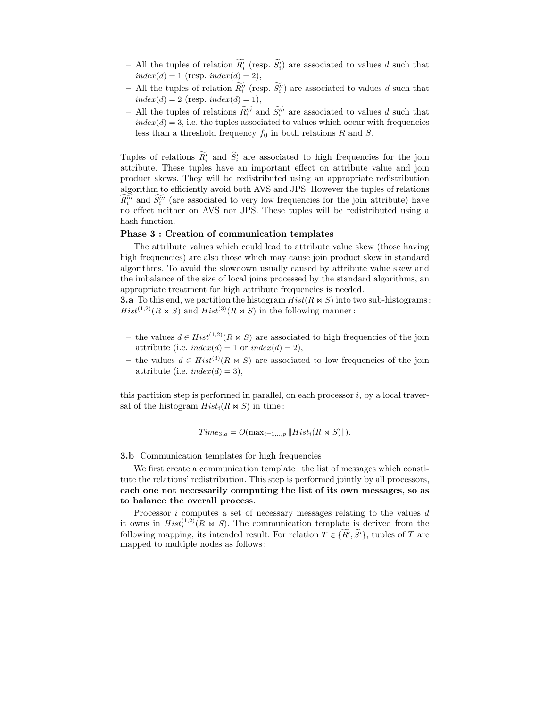- All the tuples of relation  $R'_{i}$  (resp.  $S'_{i}$ ) are associated to values d such that  $index(d) = 1$  (resp.  $index(d) = 2$ ),
- All the tuples of relation  $R_i''$  (resp.  $S_i''$ ) are associated to values d such that  $index(d) = 2 (resp. index(d) = 1),$
- All the tuples of relations  $R_i^{\prime\prime\prime}$  and  $S_i^{\prime\prime\prime}$  are associated to values d such that  $index(d) = 3$ , i.e. the tuples associated to values which occur with frequencies less than a threshold frequency  $f_0$  in both relations R and S.

Tuples of relations  $R_i'$  and  $S_i'$  are associated to high frequencies for the join attribute. These tuples have an important effect on attribute value and join product skews. They will be redistributed using an appropriate redistribution algorithm to efficiently avoid both AVS and JPS. However the tuples of relations  $R_i^{\prime\prime\prime}$  and  $S_i^{\prime\prime\prime}$  (are associated to very low frequencies for the join attribute) have no effect neither on AVS nor JPS. These tuples will be redistributed using a hash function.

### Phase 3 : Creation of communication templates

The attribute values which could lead to attribute value skew (those having high frequencies) are also those which may cause join product skew in standard algorithms. To avoid the slowdown usually caused by attribute value skew and the imbalance of the size of local joins processed by the standard algorithms, an appropriate treatment for high attribute frequencies is needed.

**3.a** To this end, we partition the histogram  $Hist(R \Join S)$  into two sub-histograms:  $Hist^{(1,2)}(R \Join S)$  and  $Hist^{(3)}(R \Join S)$  in the following manner:

- the values  $d \in Hist^{(1,2)}(R \bowtie S)$  are associated to high frequencies of the join attribute (i.e.  $index(d) = 1$  or  $index(d) = 2$ ),
- the values  $d \in Hist^{(3)}(R \Join S)$  are associated to low frequencies of the join attribute (i.e.  $index(d) = 3$ ),

this partition step is performed in parallel, on each processor  $i$ , by a local traversal of the histogram  $Hist_i(R \Join S)$  in time:

$$
Time_{3.a} = O(max_{i=1,\dots,p} || Hist_i(R \bowtie S) ||).
$$

3.b Communication templates for high frequencies

We first create a communication template : the list of messages which constitute the relations' redistribution. This step is performed jointly by all processors, each one not necessarily computing the list of its own messages, so as to balance the overall process.

Processor  $i$  computes a set of necessary messages relating to the values  $d$ it owns in  $Hist_i^{(1,2)}(R \Join S)$ . The communication template is derived from the following mapping, its intended result. For relation  $T \in \{R', S'\}$ , tuples of T are mapped to multiple nodes as follows :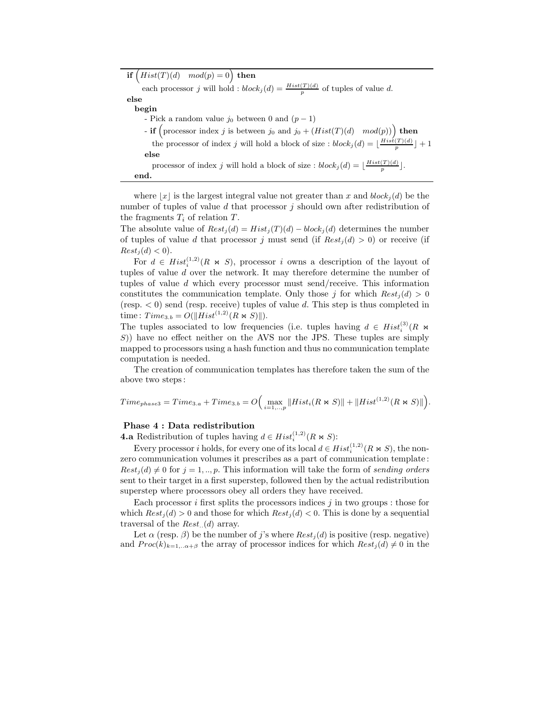if  $\big(Hist(T)(d) \mod(p) = 0\big)$  then

each processor j will hold :  $block_j(d) = \frac{Hist(T)(d)}{p}$  of tuples of value d.

else begin

- Pick a random value  $j_0$  between 0 and  $(p-1)$
- **if**  $\left(\text{processor index } j \text{ is between } j_0 \text{ and } j_0 + (Hist(T)(d) \mod(p))\right)$  then
- the processor of index j will hold a block of size :  $block_j(d) = \lfloor \frac{Hist(T)(d)}{p} \rfloor + 1$ else
- processor of index j will hold a block of size :  $block_j(d) = \lfloor \frac{Hist(T)(d)}{p} \rfloor$ . end.

where |x| is the largest integral value not greater than x and  $block_i(d)$  be the number of tuples of value d that processor j should own after redistribution of the fragments  $T_i$  of relation  $T$ .

The absolute value of  $Rest_j(d) = Hist_j(T)(d) - block_j(d)$  determines the number of tuples of value d that processor j must send (if  $Rest<sub>i</sub>(d) > 0$ ) or receive (if  $Rest<sub>j</sub>(d) < 0$ .

For  $d \in Hist_i^{(1,2)}(R \Join S)$ , processor i owns a description of the layout of tuples of value d over the network. It may therefore determine the number of tuples of value d which every processor must send/receive. This information constitutes the communication template. Only those j for which  $Rest<sub>i</sub>(d) > 0$ (resp.  $\lt 0$ ) send (resp. receive) tuples of value d. This step is thus completed in time :  $Time_{3.b} = O(||Hist^{(1,2)}(R \Join S)||).$ 

The tuples associated to low frequencies (i.e. tuples having  $d \in Hist_i^{(3)}(R \Join \mathbb{Z})$ S)) have no effect neither on the AVS nor the JPS. These tuples are simply mapped to processors using a hash function and thus no communication template computation is needed.

The creation of communication templates has therefore taken the sum of the above two steps :

$$
Time_{phase3} = Time_{3.a} + Time_{3.b} = O\Big(\max_{i=1,\dots,p} ||Hist_i(R \Join S)|| + ||Hist^{(1,2)}(R \Join S)||\Big).
$$

#### Phase 4 : Data redistribution

**4.a** Redistribution of tuples having  $d \in Hist_i^{(1,2)}(R \bowtie S)$ :

Every processor *i* holds, for every one of its local  $d \in Hist_i^{(1,2)}(R \bowtie S)$ , the nonzero communication volumes it prescribes as a part of communication template :  $Rest<sub>j</sub>(d) \neq 0$  for  $j = 1, ..., p$ . This information will take the form of sending orders sent to their target in a first superstep, followed then by the actual redistribution superstep where processors obey all orders they have received.

Each processor  $i$  first splits the processors indices  $j$  in two groups : those for which  $Rest<sub>i</sub>(d) > 0$  and those for which  $Rest<sub>i</sub>(d) < 0$ . This is done by a sequential traversal of the  $Rest_{\dots}(d)$  array.

Let  $\alpha$  (resp.  $\beta$ ) be the number of j's where  $Rest<sub>i</sub>(d)$  is positive (resp. negative) and  $Proc(k)_{k=1...a+\beta}$  the array of processor indices for which  $Rest_j(d) \neq 0$  in the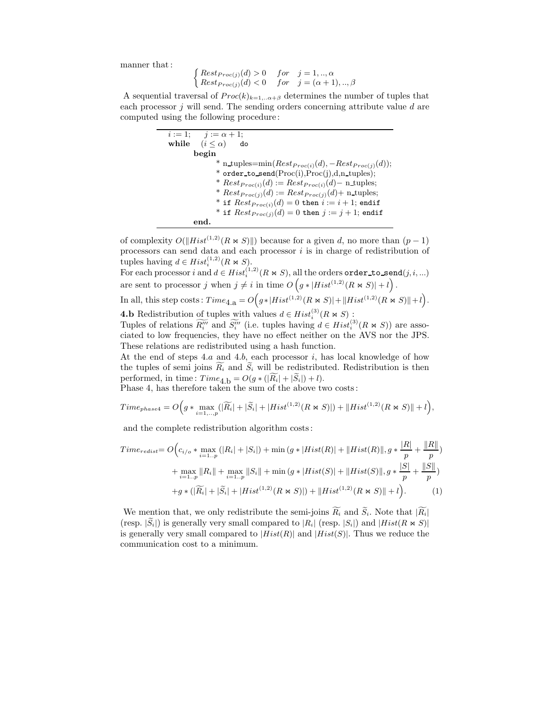manner that :

$$
\begin{cases} Rest_{Proc(j)}(d) > 0 & for \quad j = 1,..,\alpha \\ Rest_{Proc(j)}(d) < 0 & for \quad j = (\alpha + 1),..,\beta \end{cases}
$$

A sequential traversal of  $Proc(k)_{k=1,..,\alpha+\beta}$  determines the number of tuples that each processor  $j$  will send. The sending orders concerning attribute value  $d$  are computed using the following procedure :

> $i := 1; \quad i := \alpha + 1;$ while  $(i \leq \alpha)$  do begin \* n\_tuples= $\min(Rest_{Proc(i)}(d), -Rest_{Proc(j)}(d));$  $*$  order\_to\_send( $\text{Proc}(i), \text{Proc}(j), d, n\_tuples);$ \*  $Rest_{Proc(i)}(d) := Rest_{Proc(i)}(d) - \text{n\_tuples};$ \*  $Rest_{Proc(j)}(d) := Rest_{Proc(j)}(d) + \text{n\_tuples};$ \* if  $Rest_{Proc(i)}(d) = 0$  then  $i := i + 1$ ; endif \* if  $Rest_{Proc(j)}(d) = 0$  then  $j := j + 1$ ; endif end.

of complexity  $O(||Hist^{(1,2)}(R \bowtie S)||)$  because for a given d, no more than  $(p-1)$ processors can send data and each processor  $i$  is in charge of redistribution of tuples having  $d \in Hist_i^{(1,2)}(R \bowtie S)$ .

For each processor  $i$  and  $d \in Hist_i^{(1,2)}(R \Join S)$ , all the orders order\_to\_send $(j, i, ...)$ are sent to processor j when  $j \neq i$  in time  $O(g * | Hist^{(1,2)}(R \bowtie S)| + l)$ .

In all, this step costs:  $Time_{4.\text{a}} = O(g*|Hist^{(1,2)}(R \bowtie S)| + ||Hist^{(1,2)}(R \bowtie S)|| + l).$ **4.b** Redistribution of tuples with values  $d \in Hist_i^{(3)}(R \Join S)$ :

Tuples of relations  $\widetilde{R_i'''}$  and  $\widetilde{S_i'''}$  (i.e. tuples having  $d \in Hist_i^{(3)}(R \bowtie S)$ ) are associated to low frequencies, they have no effect neither on the AVS nor the JPS. These relations are redistributed using a hash function.

At the end of steps 4.a and 4.b, each processor  $i$ , has local knowledge of how the tuples of semi joins  $\widetilde{R}_i$  and  $\widetilde{S}_i$  will be redistributed. Redistribution is then performed, in time :  $Time_{4\text{ b}} = O(g * (|\widetilde{R_i}| + |\widetilde{S}_i|) + l).$ 

Phase 4, has therefore taken the sum of the above two costs :

$$
Time_{phase4} = O\Big(g * \max_{i=1,..,p}(|\widetilde{R_i}| + |\widetilde{S_i}| + |Hist^{(1,2)}(R \bowtie S)|) + ||Hist^{(1,2)}(R \bowtie S)|| + l\Big),\,
$$

and the complete redistribution algorithm costs :

$$
Time_{redist} = O\Big(c_{i/o} * \max_{i=1..p} (|R_i| + |S_i|) + \min\big(g * |Hist(R)| + ||Hist(R)||, g * \frac{|R|}{p} + \frac{||R||}{p}\big) + \max_{i=1..p} ||R_i|| + \max_{i=1..p} ||S_i|| + \min\big(g * |Hist(S)| + ||Hist(S)||, g * \frac{|S|}{p} + \frac{||S||}{p}\big) + g * (|\widetilde{R_i}| + |\widetilde{S_i}| + |Hist^{(1,2)}(R \ltimes S)|) + ||Hist^{(1,2)}(R \ltimes S)|| + l\Big).
$$
\n(1)

We mention that, we only redistribute the semi-joins  $\widetilde{R_i}$  and  $\widetilde{S_i}$ . Note that  $|\widetilde{R_i}|$ (resp.  $|\tilde{S}_i|$ ) is generally very small compared to  $|R_i|$  (resp.  $|S_i|$ ) and  $|Hist(R \Join S)|$ is generally very small compared to  $|Hist(R)|$  and  $|Hist(S)|$ . Thus we reduce the communication cost to a minimum.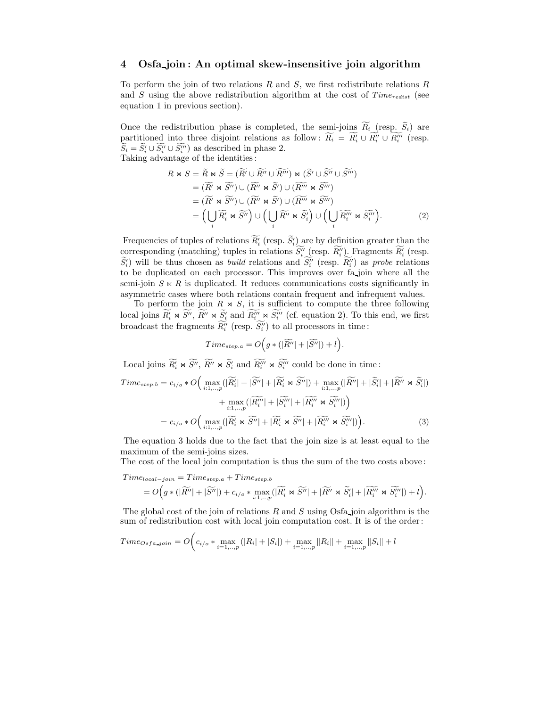# 4 Osfa join : An optimal skew-insensitive join algorithm

To perform the join of two relations  $R$  and  $S$ , we first redistribute relations  $R$ and S using the above redistribution algorithm at the cost of  $Time_{redist}$  (see equation 1 in previous section).

Once the redistribution phase is completed, the semi-joins  $\widetilde{R_i}$  (resp.  $\widetilde{S_i}$ ) are partitioned into three disjoint relations as follow:  $R_i = R'_i \cup R''_i \cup R'''_i$  (resp.  $S_i = S'_i \cup S''_i \cup S'''_i$  as described in phase 2. Taking advantage of the identities :

$$
R \bowtie S = \widetilde{R} \bowtie \widetilde{S} = (\widetilde{R'} \cup \widetilde{R''} \cup \widetilde{R'''}) \bowtie (\widetilde{S'} \cup \widetilde{S'''})
$$
  
\n
$$
= (\widetilde{R'} \bowtie \widetilde{S''}) \cup (\widetilde{R''} \bowtie \widetilde{S'}) \cup (\widetilde{R'''} \bowtie \widetilde{S'''})
$$
  
\n
$$
= (\widetilde{R'} \bowtie \widetilde{S''}) \cup (\widetilde{R''} \bowtie \widetilde{S'}) \cup (\widetilde{R'''} \bowtie \widetilde{S'''})
$$
  
\n
$$
= (\bigcup_{i} \widetilde{R'_{i}} \bowtie \widetilde{S''}) \cup (\bigcup_{i} \widetilde{R''} \bowtie \widetilde{S'_{i}}) \cup (\bigcup_{i} \widetilde{R'''_{i}} \bowtie \widetilde{S'''})
$$
  
\n(2)

Frequencies of tuples of relations  $R_i'$  (resp.  $S_i'$ ) are by definition greater than the corresponding (matching) tuples in relations  $S''_i$  (resp.  $R''_i$ ). Fragments  $R'_i$  (resp.  $S'_{i}$ ) will be thus chosen as *build* relations and  $S''_{i}$  (resp.  $R''_{i}$ ) as *probe* relations to be duplicated on each processor. This improves over fa join where all the semi-join  $S \times R$  is duplicated. It reduces communications costs significantly in asymmetric cases where both relations contain frequent and infrequent values.

To perform the join  $R \Join S$ , it is sufficient to compute the three following local joins  $\widetilde{R}'_i \Join \widetilde{S}''$ ,  $\widetilde{R}'' \Join \widetilde{S}'_i$  and  $\widetilde{R}'''_i \Join \widetilde{S}'''_i$  (cf. equation 2). To this end, we first broadcast the fragments  $R_i''$  (resp.  $S_i''$ ) to all processors in time:

$$
Time_{step.a} = O\Big(g * (|\widetilde{R''}| + |\widetilde{S''}|) + l\Big).
$$

Local joins  $\widetilde{R}'_i \Join \widetilde{S}''$ ,  $\widetilde{R}'' \Join \widetilde{S}'_i$  and  $\widetilde{R}'''_i \Join \widetilde{S}'''_i$  could be done in time:

$$
Time_{step.b} = c_{i/o} * O\Big(\max_{i:1,..,p}(|\widetilde{R}'_i| + |\widetilde{S}''| + |\widetilde{R}'_i \bowtie \widetilde{S}''|) + \max_{i:1,..,p}(|\widetilde{R}''| + |\widetilde{S}'_i| + |\widetilde{R}'' \bowtie \widetilde{S}'_i|)\Big) + \max_{i:1,..,p}(|\widetilde{R}'''_i| + |\widetilde{S}'''_i| + |\widetilde{R}'''_i \bowtie \widetilde{S}'''_i|)\Big) = c_{i/o} * O\Big(\max_{i:1,..,p}(|\widetilde{R}'_i \bowtie \widetilde{S}''| + |\widetilde{R}'_i \bowtie \widetilde{S}''| + |\widetilde{R}'''_i \bowtie \widetilde{S}'''_i|)\Big).
$$
\n(3)

The equation 3 holds due to the fact that the join size is at least equal to the maximum of the semi-joins sizes.

The cost of the local join computation is thus the sum of the two costs above :

 $Time_{local-join} = Time_{step.a} + Time_{step.b}$ 

$$
=O\Big(g\ast(|\widetilde{R''}|+|\widetilde{S''}|)+c_{i/o}\ast\max_{i:1,..,p}(|\widetilde{R_i'}\Join \widetilde{S''}|+|\widetilde{R''}\Join \widetilde{S_i'}|+|\widetilde{R_i''}\Join \widetilde{S_i''}|)+l\Big).
$$

The global cost of the join of relations  $R$  and  $S$  using Osfa join algorithm is the sum of redistribution cost with local join computation cost. It is of the order :

$$
Time_{Osfa\_join} = O\bigg(c_{i/o} * \max_{i=1,\dots,p} (|R_i| + |S_i|) + \max_{i=1,\dots,p} ||R_i|| + \max_{i=1,\dots,p} ||S_i|| + l
$$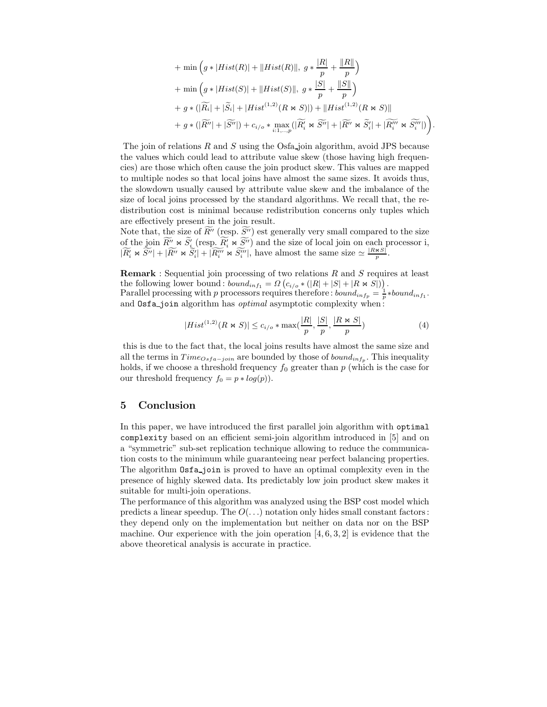$$
+\min\left(g*|Hist(R)|+||Hist(R)||, g*\frac{|R|}{p}+\frac{||R||}{p}\right)
$$
  
+ 
$$
\min\left(g*|Hist(S)|+||Hist(S)||, g*\frac{|S|}{p}+\frac{||S||}{p}\right)
$$
  
+ 
$$
g*(|\widetilde{R_i}|+|\widetilde{S_i}|+|Hist^{(1,2)}(R\bowtie S)|)+||Hist^{(1,2)}(R\bowtie S)||
$$
  
+ 
$$
g*(|\widetilde{R''}|+|\widetilde{S''}|)+c_{i/o}* \max_{i:1,\dots,p}(|\widetilde{R_i'}\bowtie \widetilde{S''}|+|\widetilde{R''}\bowtie \widetilde{S_i'}|+|\widetilde{R''}\bowtie \widetilde{S''_i'}|)\right).
$$

The join of relations  $R$  and  $S$  using the Osfa join algorithm, avoid JPS because the values which could lead to attribute value skew (those having high frequencies) are those which often cause the join product skew. This values are mapped to multiple nodes so that local joins have almost the same sizes. It avoids thus, the slowdown usually caused by attribute value skew and the imbalance of the size of local joins processed by the standard algorithms. We recall that, the redistribution cost is minimal because redistribution concerns only tuples which are effectively present in the join result.

Note that, the size of  $\widetilde{R}''$  (resp.  $\widetilde{S''}$ ) est generally very small compared to the size of the join  $\widetilde{R''} \bowtie \widetilde{S'_i}$  (resp.  $\widetilde{R'_i} \bowtie \widetilde{S''}$ ) and the size of local join on each processor i,  $|\widetilde{R'_i} \rtimes \widetilde{S''}| + |\widetilde{R'''} \rtimes \widetilde{S''_i}| + |\widetilde{R'''_i} \rtimes \widetilde{S'''_i}|$ , have almost the same size  $\simeq \frac{|R \rtimes S|}{p}$ .

**Remark** : Sequential join processing of two relations  $R$  and  $S$  requires at least the following lower bound:  $\overline{bound_{inf_1}} = \Omega (c_{i/o} * (|R| + |S| + |R \bowtie S|))$ . Parallel processing with p processors requires therefore :  $bound_{inf_p} = \frac{1}{p} * bound_{inf_1}$ .

and **Osfa**<sub>join</sub> algorithm has *optimal* asymptotic complexity when: 
$$
[D] \cup [C] \cup [D] \cup [C] \cup [D] \cup [C]
$$

$$
|Hist^{(1,2)}(R \bowtie S)| \leq c_{i/o} * \max(\frac{|R|}{p}, \frac{|S|}{p}, \frac{|R \bowtie S|}{p})
$$
 (4)

this is due to the fact that, the local joins results have almost the same size and all the terms in  $Time_{Osfa-join}$  are bounded by those of  $bound_{inf_p}$ . This inequality holds, if we choose a threshold frequency  $f_0$  greater than  $p$  (which is the case for our threshold frequency  $f_0 = p * log(p)$ .

# 5 Conclusion

In this paper, we have introduced the first parallel join algorithm with optimal complexity based on an efficient semi-join algorithm introduced in [5] and on a "symmetric" sub-set replication technique allowing to reduce the communication costs to the minimum while guaranteeing near perfect balancing properties. The algorithm  $\text{Osta}_j$ oin is proved to have an optimal complexity even in the presence of highly skewed data. Its predictably low join product skew makes it suitable for multi-join operations.

The performance of this algorithm was analyzed using the BSP cost model which predicts a linear speedup. The  $O(\ldots)$  notation only hides small constant factors: they depend only on the implementation but neither on data nor on the BSP machine. Our experience with the join operation  $[4, 6, 3, 2]$  is evidence that the above theoretical analysis is accurate in practice.